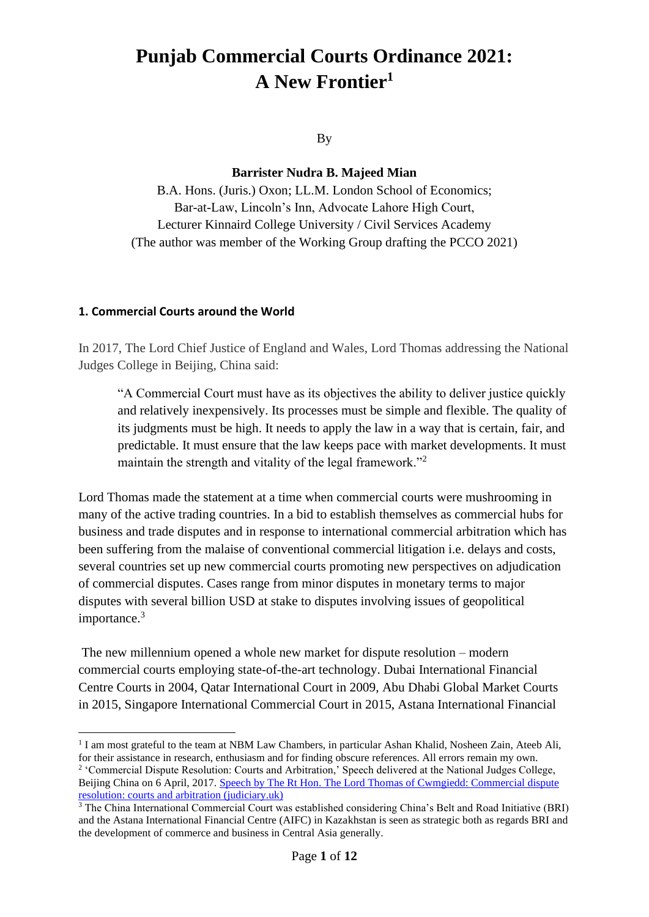# **Punjab Commercial Courts Ordinance 2021: A New Frontier<sup>1</sup>**

By

**Barrister Nudra B. Majeed Mian** 

B.A. Hons. (Juris.) Oxon; LL.M. London School of Economics; Bar-at-Law, Lincoln's Inn, Advocate Lahore High Court, Lecturer Kinnaird College University / Civil Services Academy (The author was member of the Working Group drafting the PCCO 2021)

## **1. Commercial Courts around the World**

In 2017, The Lord Chief Justice of England and Wales, Lord Thomas addressing the National Judges College in Beijing, China said:

"A Commercial Court must have as its objectives the ability to deliver justice quickly and relatively inexpensively. Its processes must be simple and flexible. The quality of its judgments must be high. It needs to apply the law in a way that is certain, fair, and predictable. It must ensure that the law keeps pace with market developments. It must maintain the strength and vitality of the legal framework."<sup>2</sup>

Lord Thomas made the statement at a time when commercial courts were mushrooming in many of the active trading countries. In a bid to establish themselves as commercial hubs for business and trade disputes and in response to international commercial arbitration which has been suffering from the malaise of conventional commercial litigation i.e. delays and costs, several countries set up new commercial courts promoting new perspectives on adjudication of commercial disputes. Cases range from minor disputes in monetary terms to major disputes with several billion USD at stake to disputes involving issues of geopolitical importance.<sup>3</sup>

The new millennium opened a whole new market for dispute resolution – modern commercial courts employing state-of-the-art technology. Dubai International Financial Centre Courts in 2004, Qatar International Court in 2009, Abu Dhabi Global Market Courts in 2015, Singapore International Commercial Court in 2015, Astana International Financial

<sup>&</sup>lt;sup>1</sup> I am most grateful to the team at NBM Law Chambers, in particular Ashan Khalid, Nosheen Zain, Ateeb Ali, for their assistance in research, enthusiasm and for finding obscure references. All errors remain my own.

<sup>&</sup>lt;sup>2</sup> 'Commercial Dispute Resolution: Courts and Arbitration,' Speech delivered at the National Judges College, Beijing China on 6 April, 2017. [Speech by The Rt Hon. The Lord Thomas of Cwmgiedd: Commercial dispute](https://www.judiciary.uk/wp-content/uploads/2017/04/lcj-speech-national-judges-college-beijing-april2017.pdf)  [resolution: courts and arbitration \(judiciary.uk\)](https://www.judiciary.uk/wp-content/uploads/2017/04/lcj-speech-national-judges-college-beijing-april2017.pdf)

<sup>&</sup>lt;sup>3</sup> The China International Commercial Court was established considering China's Belt and Road Initiative (BRI) and the Astana International Financial Centre (AIFC) in Kazakhstan is seen as strategic both as regards BRI and the development of commerce and business in Central Asia generally.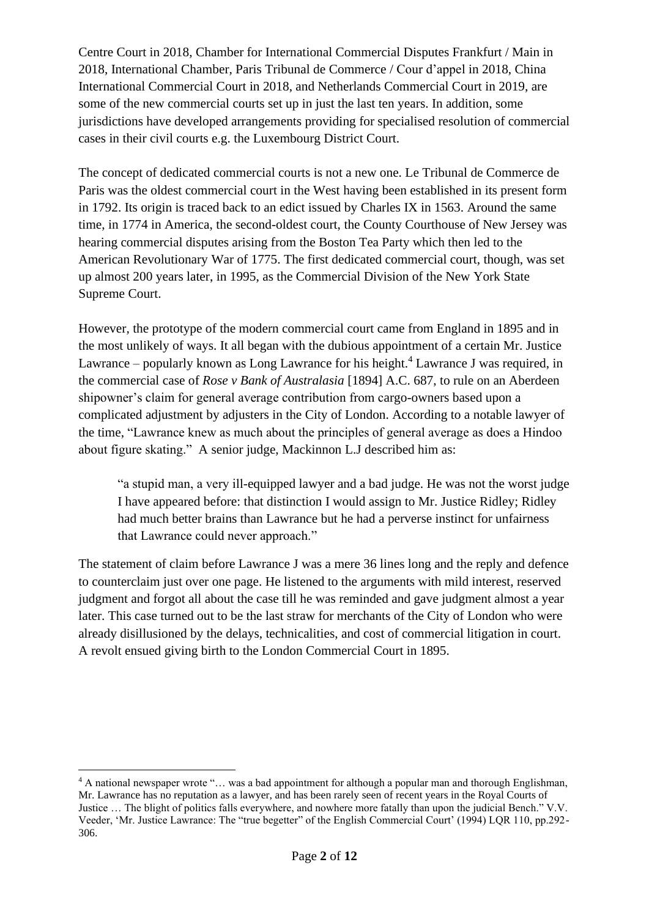Centre Court in 2018, Chamber for International Commercial Disputes Frankfurt / Main in 2018, International Chamber, Paris Tribunal de Commerce / Cour d'appel in 2018, China International Commercial Court in 2018, and Netherlands Commercial Court in 2019, are some of the new commercial courts set up in just the last ten years. In addition, some jurisdictions have developed arrangements providing for specialised resolution of commercial cases in their civil courts e.g. the Luxembourg District Court.

The concept of dedicated commercial courts is not a new one. Le Tribunal de Commerce de Paris was the oldest commercial court in the West having been established in its present form in 1792. Its origin is traced back to an edict issued by Charles IX in 1563. Around the same time, in 1774 in America, the second-oldest court, the County Courthouse of New Jersey was hearing commercial disputes arising from the Boston Tea Party which then led to the American Revolutionary War of 1775. The first dedicated commercial court, though, was set up almost 200 years later, in 1995, as the Commercial Division of the New York State Supreme Court.

However, the prototype of the modern commercial court came from England in 1895 and in the most unlikely of ways. It all began with the dubious appointment of a certain Mr. Justice Lawrance – popularly known as Long Lawrance for his height.<sup>4</sup> Lawrance J was required, in the commercial case of *Rose v Bank of Australasia* [1894] A.C. 687, to rule on an Aberdeen shipowner's claim for general average contribution from cargo-owners based upon a complicated adjustment by adjusters in the City of London. According to a notable lawyer of the time, "Lawrance knew as much about the principles of general average as does a Hindoo about figure skating." A senior judge, Mackinnon L.J described him as:

"a stupid man, a very ill-equipped lawyer and a bad judge. He was not the worst judge I have appeared before: that distinction I would assign to Mr. Justice Ridley; Ridley had much better brains than Lawrance but he had a perverse instinct for unfairness that Lawrance could never approach."

The statement of claim before Lawrance J was a mere 36 lines long and the reply and defence to counterclaim just over one page. He listened to the arguments with mild interest, reserved judgment and forgot all about the case till he was reminded and gave judgment almost a year later. This case turned out to be the last straw for merchants of the City of London who were already disillusioned by the delays, technicalities, and cost of commercial litigation in court. A revolt ensued giving birth to the London Commercial Court in 1895.

<sup>4</sup> A national newspaper wrote "… was a bad appointment for although a popular man and thorough Englishman, Mr. Lawrance has no reputation as a lawyer, and has been rarely seen of recent years in the Royal Courts of Justice … The blight of politics falls everywhere, and nowhere more fatally than upon the judicial Bench." V.V. Veeder, 'Mr. Justice Lawrance: The "true begetter" of the English Commercial Court' (1994) LQR 110, pp.292- 306.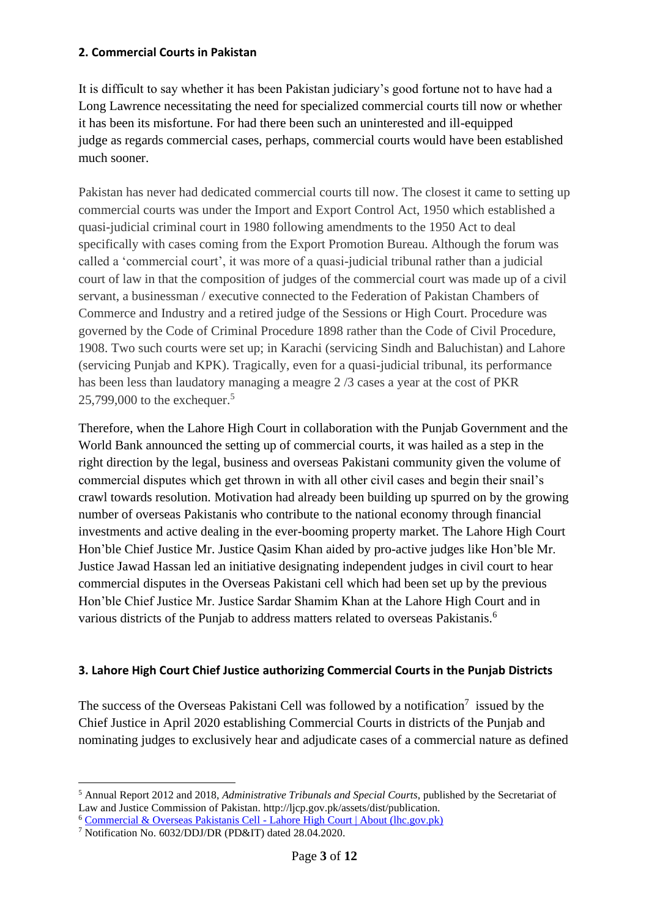#### **2. Commercial Courts in Pakistan**

It is difficult to say whether it has been Pakistan judiciary's good fortune not to have had a Long Lawrence necessitating the need for specialized commercial courts till now or whether it has been its misfortune. For had there been such an uninterested and ill-equipped judge as regards commercial cases, perhaps, commercial courts would have been established much sooner.

Pakistan has never had dedicated commercial courts till now. The closest it came to setting up commercial courts was under the Import and Export Control Act, 1950 which established a quasi-judicial criminal court in 1980 following amendments to the 1950 Act to deal specifically with cases coming from the Export Promotion Bureau. Although the forum was called a 'commercial court', it was more of a quasi-judicial tribunal rather than a judicial court of law in that the composition of judges of the commercial court was made up of a civil servant, a businessman / executive connected to the Federation of Pakistan Chambers of Commerce and Industry and a retired judge of the Sessions or High Court. Procedure was governed by the Code of Criminal Procedure 1898 rather than the Code of Civil Procedure, 1908. Two such courts were set up; in Karachi (servicing Sindh and Baluchistan) and Lahore (servicing Punjab and KPK). Tragically, even for a quasi-judicial tribunal, its performance has been less than laudatory managing a meagre 2 /3 cases a year at the cost of PKR 25,799,000 to the exchequer.<sup>5</sup>

Therefore, when the Lahore High Court in collaboration with the Punjab Government and the World Bank announced the setting up of commercial courts, it was hailed as a step in the right direction by the legal, business and overseas Pakistani community given the volume of commercial disputes which get thrown in with all other civil cases and begin their snail's crawl towards resolution. Motivation had already been building up spurred on by the growing number of overseas Pakistanis who contribute to the national economy through financial investments and active dealing in the ever-booming property market. The Lahore High Court Hon'ble Chief Justice Mr. Justice Qasim Khan aided by pro-active judges like Hon'ble Mr. Justice Jawad Hassan led an initiative designating independent judges in civil court to hear commercial disputes in the Overseas Pakistani cell which had been set up by the previous Hon'ble Chief Justice Mr. Justice Sardar Shamim Khan at the Lahore High Court and in various districts of the Punjab to address matters related to overseas Pakistanis.<sup>6</sup>

## **3. Lahore High Court Chief Justice authorizing Commercial Courts in the Punjab Districts**

The success of the Overseas Pakistani Cell was followed by a notification<sup>7</sup> issued by the Chief Justice in April 2020 establishing Commercial Courts in districts of the Punjab and nominating judges to exclusively hear and adjudicate cases of a commercial nature as defined

<sup>5</sup> Annual Report 2012 and 2018, *Administrative Tribunals and Special Courts*, published by the Secretariat of Law and Justice Commission of Pakistan. http://ljcp.gov.pk/assets/dist/publication.

<sup>6</sup> [Commercial & Overseas Pakistanis Cell -](http://opc.lhc.gov.pk/) Lahore High Court | About (lhc.gov.pk)

<sup>7</sup> Notification No. 6032/DDJ/DR (PD&IT) dated 28.04.2020.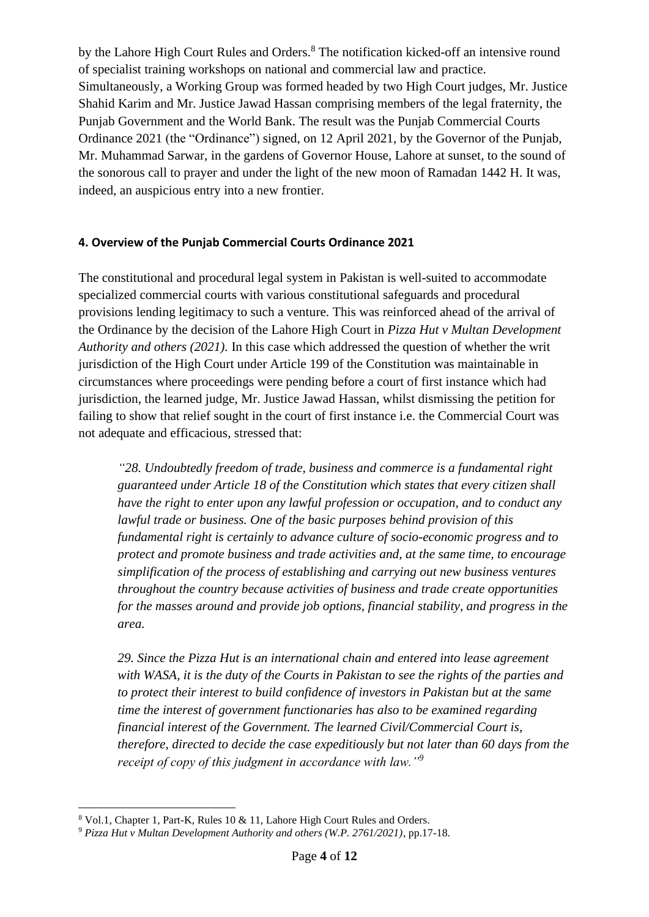by the Lahore High Court Rules and Orders.<sup>8</sup> The notification kicked-off an intensive round of specialist training workshops on national and commercial law and practice. Simultaneously, a Working Group was formed headed by two High Court judges, Mr. Justice Shahid Karim and Mr. Justice Jawad Hassan comprising members of the legal fraternity, the Punjab Government and the World Bank. The result was the Punjab Commercial Courts Ordinance 2021 (the "Ordinance") signed, on 12 April 2021, by the Governor of the Punjab, Mr. Muhammad Sarwar, in the gardens of Governor House, Lahore at sunset, to the sound of the sonorous call to prayer and under the light of the new moon of Ramadan 1442 H. It was, indeed, an auspicious entry into a new frontier.

## **4. Overview of the Punjab Commercial Courts Ordinance 2021**

The constitutional and procedural legal system in Pakistan is well-suited to accommodate specialized commercial courts with various constitutional safeguards and procedural provisions lending legitimacy to such a venture. This was reinforced ahead of the arrival of the Ordinance by the decision of the Lahore High Court in *Pizza Hut v Multan Development Authority and others (2021).* In this case which addressed the question of whether the writ jurisdiction of the High Court under Article 199 of the Constitution was maintainable in circumstances where proceedings were pending before a court of first instance which had jurisdiction, the learned judge, Mr. Justice Jawad Hassan, whilst dismissing the petition for failing to show that relief sought in the court of first instance i.e. the Commercial Court was not adequate and efficacious, stressed that:

*"28. Undoubtedly freedom of trade, business and commerce is a fundamental right guaranteed under Article 18 of the Constitution which states that every citizen shall have the right to enter upon any lawful profession or occupation, and to conduct any lawful trade or business. One of the basic purposes behind provision of this fundamental right is certainly to advance culture of socio-economic progress and to protect and promote business and trade activities and, at the same time, to encourage simplification of the process of establishing and carrying out new business ventures throughout the country because activities of business and trade create opportunities for the masses around and provide job options, financial stability, and progress in the area.* 

*29. Since the Pizza Hut is an international chain and entered into lease agreement with WASA, it is the duty of the Courts in Pakistan to see the rights of the parties and to protect their interest to build confidence of investors in Pakistan but at the same time the interest of government functionaries has also to be examined regarding financial interest of the Government. The learned Civil/Commercial Court is, therefore, directed to decide the case expeditiously but not later than 60 days from the receipt of copy of this judgment in accordance with law."<sup>9</sup>*

<sup>8</sup> Vol.1, Chapter 1, Part-K, Rules 10 & 11, Lahore High Court Rules and Orders.

<sup>9</sup> *Pizza Hut v Multan Development Authority and others (W.P. 2761/2021)*, pp.17-18.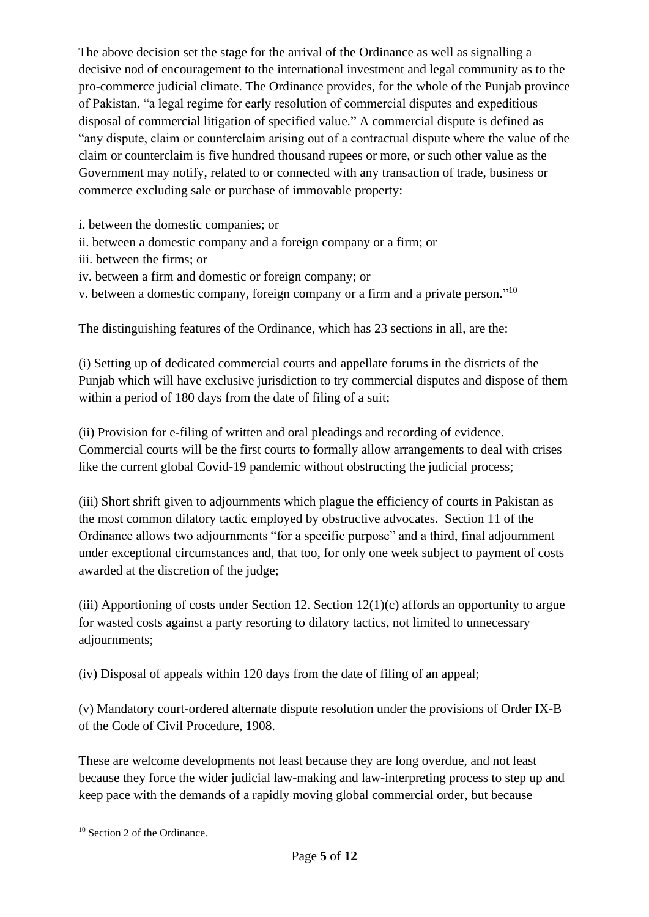The above decision set the stage for the arrival of the Ordinance as well as signalling a decisive nod of encouragement to the international investment and legal community as to the pro-commerce judicial climate. The Ordinance provides, for the whole of the Punjab province of Pakistan, "a legal regime for early resolution of commercial disputes and expeditious disposal of commercial litigation of specified value." A commercial dispute is defined as "any dispute, claim or counterclaim arising out of a contractual dispute where the value of the claim or counterclaim is five hundred thousand rupees or more, or such other value as the Government may notify, related to or connected with any transaction of trade, business or commerce excluding sale or purchase of immovable property:

i. between the domestic companies; or

- ii. between a domestic company and a foreign company or a firm; or
- iii. between the firms; or
- iv. between a firm and domestic or foreign company; or
- v. between a domestic company, foreign company or a firm and a private person."<sup>10</sup>

The distinguishing features of the Ordinance, which has 23 sections in all, are the:

(i) Setting up of dedicated commercial courts and appellate forums in the districts of the Punjab which will have exclusive jurisdiction to try commercial disputes and dispose of them within a period of 180 days from the date of filing of a suit;

(ii) Provision for e-filing of written and oral pleadings and recording of evidence. Commercial courts will be the first courts to formally allow arrangements to deal with crises like the current global Covid-19 pandemic without obstructing the judicial process;

(iii) Short shrift given to adjournments which plague the efficiency of courts in Pakistan as the most common dilatory tactic employed by obstructive advocates. Section 11 of the Ordinance allows two adjournments "for a specific purpose" and a third, final adjournment under exceptional circumstances and, that too, for only one week subject to payment of costs awarded at the discretion of the judge;

(iii) Apportioning of costs under Section 12. Section 12(1)(c) affords an opportunity to argue for wasted costs against a party resorting to dilatory tactics, not limited to unnecessary adjournments;

(iv) Disposal of appeals within 120 days from the date of filing of an appeal;

(v) Mandatory court-ordered alternate dispute resolution under the provisions of Order IX-B of the Code of Civil Procedure, 1908.

These are welcome developments not least because they are long overdue, and not least because they force the wider judicial law-making and law-interpreting process to step up and keep pace with the demands of a rapidly moving global commercial order, but because

<sup>10</sup> Section 2 of the Ordinance.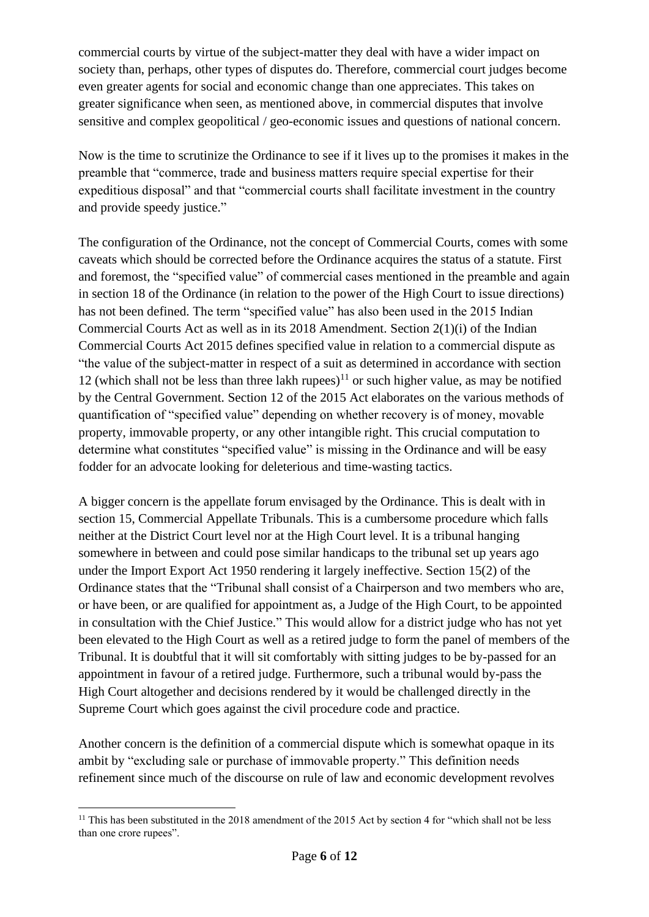commercial courts by virtue of the subject-matter they deal with have a wider impact on society than, perhaps, other types of disputes do. Therefore, commercial court judges become even greater agents for social and economic change than one appreciates. This takes on greater significance when seen, as mentioned above, in commercial disputes that involve sensitive and complex geopolitical / geo-economic issues and questions of national concern.

Now is the time to scrutinize the Ordinance to see if it lives up to the promises it makes in the preamble that "commerce, trade and business matters require special expertise for their expeditious disposal" and that "commercial courts shall facilitate investment in the country and provide speedy justice."

The configuration of the Ordinance, not the concept of Commercial Courts, comes with some caveats which should be corrected before the Ordinance acquires the status of a statute. First and foremost, the "specified value" of commercial cases mentioned in the preamble and again in section 18 of the Ordinance (in relation to the power of the High Court to issue directions) has not been defined. The term "specified value" has also been used in the 2015 Indian Commercial Courts Act as well as in its 2018 Amendment. Section 2(1)(i) of the Indian Commercial Courts Act 2015 defines specified value in relation to a commercial dispute as "the value of the subject-matter in respect of a suit as determined in accordance with section 12 (which shall not be less than three lakh rupees)<sup>11</sup> or such higher value, as may be notified by the Central Government. Section 12 of the 2015 Act elaborates on the various methods of quantification of "specified value" depending on whether recovery is of money, movable property, immovable property, or any other intangible right. This crucial computation to determine what constitutes "specified value" is missing in the Ordinance and will be easy fodder for an advocate looking for deleterious and time-wasting tactics.

A bigger concern is the appellate forum envisaged by the Ordinance. This is dealt with in section 15, Commercial Appellate Tribunals. This is a cumbersome procedure which falls neither at the District Court level nor at the High Court level. It is a tribunal hanging somewhere in between and could pose similar handicaps to the tribunal set up years ago under the Import Export Act 1950 rendering it largely ineffective. Section 15(2) of the Ordinance states that the "Tribunal shall consist of a Chairperson and two members who are, or have been, or are qualified for appointment as, a Judge of the High Court, to be appointed in consultation with the Chief Justice." This would allow for a district judge who has not yet been elevated to the High Court as well as a retired judge to form the panel of members of the Tribunal. It is doubtful that it will sit comfortably with sitting judges to be by-passed for an appointment in favour of a retired judge. Furthermore, such a tribunal would by-pass the High Court altogether and decisions rendered by it would be challenged directly in the Supreme Court which goes against the civil procedure code and practice.

Another concern is the definition of a commercial dispute which is somewhat opaque in its ambit by "excluding sale or purchase of immovable property." This definition needs refinement since much of the discourse on rule of law and economic development revolves

<sup>&</sup>lt;sup>11</sup> This has been substituted in the 2018 amendment of the 2015 Act by section 4 for "which shall not be less than one crore rupees".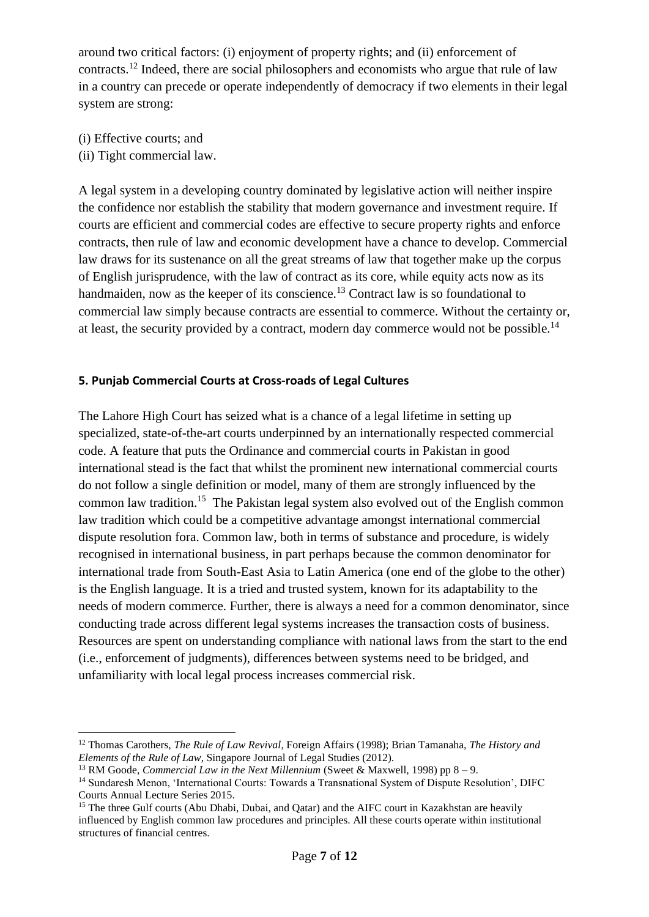around two critical factors: (i) enjoyment of property rights; and (ii) enforcement of contracts.<sup>12</sup> Indeed, there are social philosophers and economists who argue that rule of law in a country can precede or operate independently of democracy if two elements in their legal system are strong:

- (i) Effective courts; and
- (ii) Tight commercial law.

A legal system in a developing country dominated by legislative action will neither inspire the confidence nor establish the stability that modern governance and investment require. If courts are efficient and commercial codes are effective to secure property rights and enforce contracts, then rule of law and economic development have a chance to develop. Commercial law draws for its sustenance on all the great streams of law that together make up the corpus of English jurisprudence, with the law of contract as its core, while equity acts now as its handmaiden, now as the keeper of its conscience.<sup>13</sup> Contract law is so foundational to commercial law simply because contracts are essential to commerce. Without the certainty or, at least, the security provided by a contract, modern day commerce would not be possible.<sup>14</sup>

#### **5. Punjab Commercial Courts at Cross-roads of Legal Cultures**

The Lahore High Court has seized what is a chance of a legal lifetime in setting up specialized, state-of-the-art courts underpinned by an internationally respected commercial code. A feature that puts the Ordinance and commercial courts in Pakistan in good international stead is the fact that whilst the prominent new international commercial courts do not follow a single definition or model, many of them are strongly influenced by the common law tradition.<sup>15</sup> The Pakistan legal system also evolved out of the English common law tradition which could be a competitive advantage amongst international commercial dispute resolution fora. Common law, both in terms of substance and procedure, is widely recognised in international business, in part perhaps because the common denominator for international trade from South-East Asia to Latin America (one end of the globe to the other) is the English language. It is a tried and trusted system, known for its adaptability to the needs of modern commerce. Further, there is always a need for a common denominator, since conducting trade across different legal systems increases the transaction costs of business. Resources are spent on understanding compliance with national laws from the start to the end (i.e., enforcement of judgments), differences between systems need to be bridged, and unfamiliarity with local legal process increases commercial risk.

<sup>12</sup> Thomas Carothers, *The Rule of Law Revival*, Foreign Affairs (1998); Brian Tamanaha, *The History and Elements of the Rule of Law*, Singapore Journal of Legal Studies (2012).

<sup>&</sup>lt;sup>13</sup> RM Goode, *Commercial Law in the Next Millennium* (Sweet & Maxwell, 1998) pp  $8 - 9$ .

<sup>14</sup> Sundaresh Menon, 'International Courts: Towards a Transnational System of Dispute Resolution', DIFC Courts Annual Lecture Series 2015.

<sup>&</sup>lt;sup>15</sup> The three Gulf courts (Abu Dhabi, Dubai, and Qatar) and the AIFC court in Kazakhstan are heavily influenced by English common law procedures and principles. All these courts operate within institutional structures of financial centres.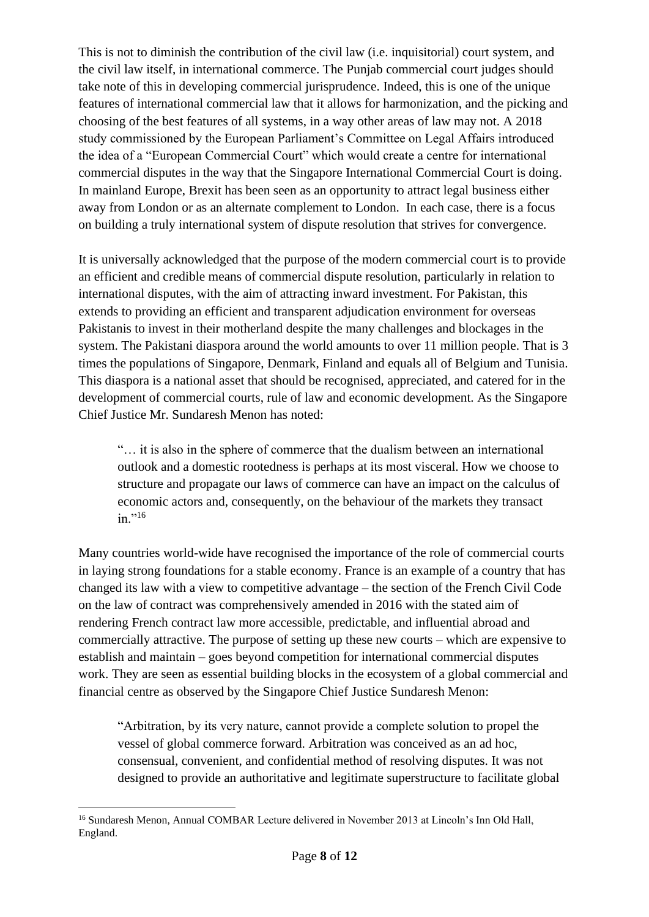This is not to diminish the contribution of the civil law (i.e. inquisitorial) court system, and the civil law itself, in international commerce. The Punjab commercial court judges should take note of this in developing commercial jurisprudence. Indeed, this is one of the unique features of international commercial law that it allows for harmonization, and the picking and choosing of the best features of all systems, in a way other areas of law may not. A 2018 study commissioned by the European Parliament's Committee on Legal Affairs introduced the idea of a "European Commercial Court" which would create a centre for international commercial disputes in the way that the Singapore International Commercial Court is doing. In mainland Europe, Brexit has been seen as an opportunity to attract legal business either away from London or as an alternate complement to London. In each case, there is a focus on building a truly international system of dispute resolution that strives for convergence.

It is universally acknowledged that the purpose of the modern commercial court is to provide an efficient and credible means of commercial dispute resolution, particularly in relation to international disputes, with the aim of attracting inward investment. For Pakistan, this extends to providing an efficient and transparent adjudication environment for overseas Pakistanis to invest in their motherland despite the many challenges and blockages in the system. The Pakistani diaspora around the world amounts to over 11 million people. That is 3 times the populations of Singapore, Denmark, Finland and equals all of Belgium and Tunisia. This diaspora is a national asset that should be recognised, appreciated, and catered for in the development of commercial courts, rule of law and economic development. As the Singapore Chief Justice Mr. Sundaresh Menon has noted:

"… it is also in the sphere of commerce that the dualism between an international outlook and a domestic rootedness is perhaps at its most visceral. How we choose to structure and propagate our laws of commerce can have an impact on the calculus of economic actors and, consequently, on the behaviour of the markets they transact in."<sup>16</sup>

Many countries world-wide have recognised the importance of the role of commercial courts in laying strong foundations for a stable economy. France is an example of a country that has changed its law with a view to competitive advantage – the section of the French Civil Code on the law of contract was comprehensively amended in 2016 with the stated aim of rendering French contract law more accessible, predictable, and influential abroad and commercially attractive. The purpose of setting up these new courts – which are expensive to establish and maintain – goes beyond competition for international commercial disputes work. They are seen as essential building blocks in the ecosystem of a global commercial and financial centre as observed by the Singapore Chief Justice Sundaresh Menon:

"Arbitration, by its very nature, cannot provide a complete solution to propel the vessel of global commerce forward. Arbitration was conceived as an ad hoc, consensual, convenient, and confidential method of resolving disputes. It was not designed to provide an authoritative and legitimate superstructure to facilitate global

<sup>&</sup>lt;sup>16</sup> Sundaresh Menon, Annual COMBAR Lecture delivered in November 2013 at Lincoln's Inn Old Hall, England.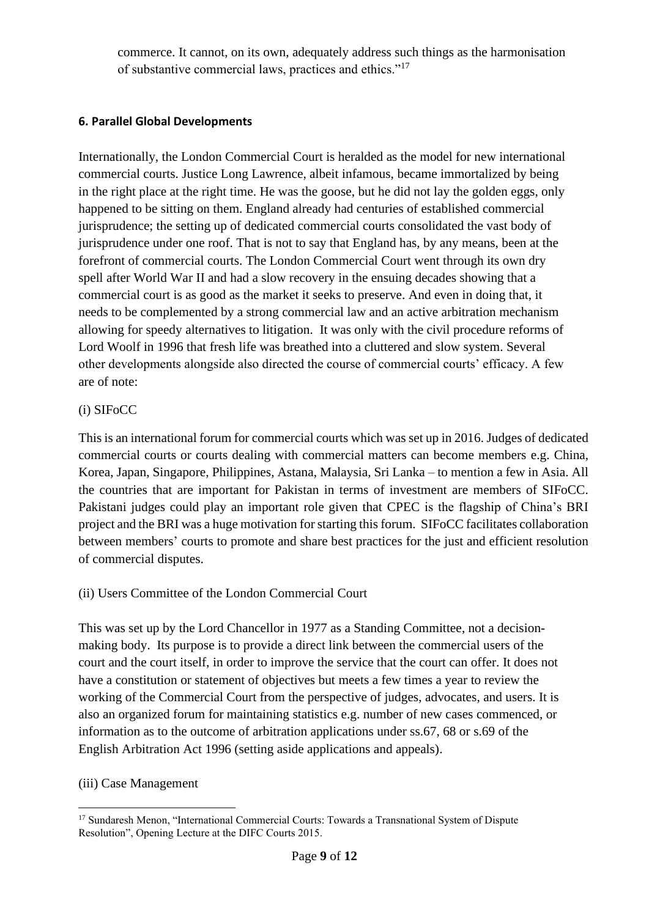commerce. It cannot, on its own, adequately address such things as the harmonisation of substantive commercial laws, practices and ethics."<sup>17</sup>

## **6. Parallel Global Developments**

Internationally, the London Commercial Court is heralded as the model for new international commercial courts. Justice Long Lawrence, albeit infamous, became immortalized by being in the right place at the right time. He was the goose, but he did not lay the golden eggs, only happened to be sitting on them. England already had centuries of established commercial jurisprudence; the setting up of dedicated commercial courts consolidated the vast body of jurisprudence under one roof. That is not to say that England has, by any means, been at the forefront of commercial courts. The London Commercial Court went through its own dry spell after World War II and had a slow recovery in the ensuing decades showing that a commercial court is as good as the market it seeks to preserve. And even in doing that, it needs to be complemented by a strong commercial law and an active arbitration mechanism allowing for speedy alternatives to litigation. It was only with the civil procedure reforms of Lord Woolf in 1996 that fresh life was breathed into a cluttered and slow system. Several other developments alongside also directed the course of commercial courts' efficacy. A few are of note:

## (i) SIFoCC

This is an international forum for commercial courts which was set up in 2016. Judges of dedicated commercial courts or courts dealing with commercial matters can become members e.g. China, Korea, Japan, Singapore, Philippines, Astana, Malaysia, Sri Lanka – to mention a few in Asia. All the countries that are important for Pakistan in terms of investment are members of SIFoCC. Pakistani judges could play an important role given that CPEC is the flagship of China's BRI project and the BRI was a huge motivation for starting this forum. SIFoCC facilitates collaboration between members' courts to promote and share best practices for the just and efficient resolution of commercial disputes.

## (ii) Users Committee of the London Commercial Court

This was set up by the Lord Chancellor in 1977 as a Standing Committee, not a decisionmaking body. Its purpose is to provide a direct link between the commercial users of the court and the court itself, in order to improve the service that the court can offer. It does not have a constitution or statement of objectives but meets a few times a year to review the working of the Commercial Court from the perspective of judges, advocates, and users. It is also an organized forum for maintaining statistics e.g. number of new cases commenced, or information as to the outcome of arbitration applications under ss.67, 68 or s.69 of the English Arbitration Act 1996 (setting aside applications and appeals).

## (iii) Case Management

<sup>&</sup>lt;sup>17</sup> Sundaresh Menon, "International Commercial Courts: Towards a Transnational System of Dispute Resolution", Opening Lecture at the DIFC Courts 2015.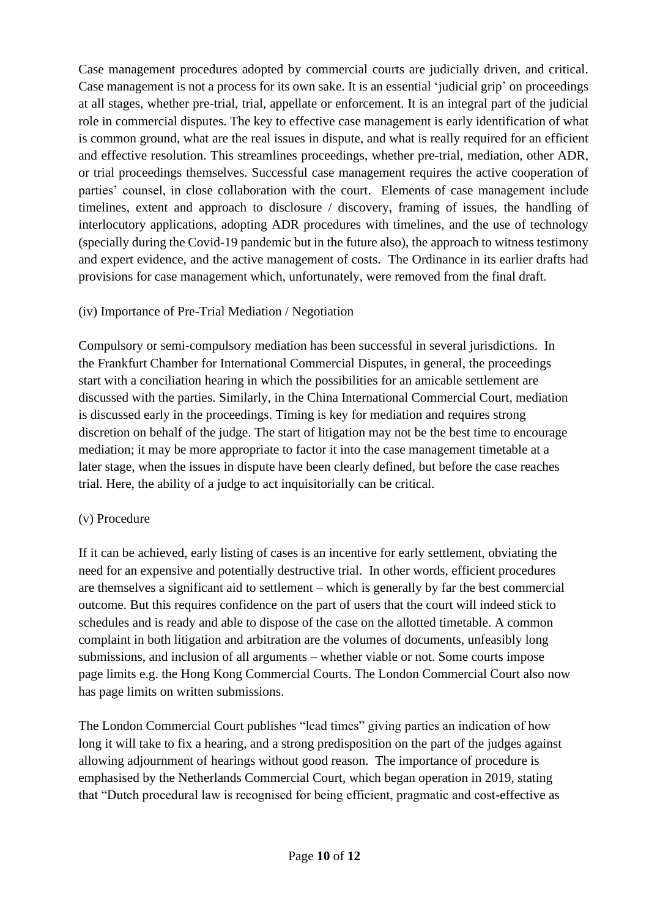Case management procedures adopted by commercial courts are judicially driven, and critical. Case management is not a process for its own sake. It is an essential 'judicial grip' on proceedings at all stages, whether pre-trial, trial, appellate or enforcement. It is an integral part of the judicial role in commercial disputes. The key to effective case management is early identification of what is common ground, what are the real issues in dispute, and what is really required for an efficient and effective resolution. This streamlines proceedings, whether pre-trial, mediation, other ADR, or trial proceedings themselves. Successful case management requires the active cooperation of parties' counsel, in close collaboration with the court. Elements of case management include timelines, extent and approach to disclosure / discovery, framing of issues, the handling of interlocutory applications, adopting ADR procedures with timelines, and the use of technology (specially during the Covid-19 pandemic but in the future also), the approach to witness testimony and expert evidence, and the active management of costs. The Ordinance in its earlier drafts had provisions for case management which, unfortunately, were removed from the final draft.

## (iv) Importance of Pre-Trial Mediation / Negotiation

Compulsory or semi-compulsory mediation has been successful in several jurisdictions. In the Frankfurt Chamber for International Commercial Disputes, in general, the proceedings start with a conciliation hearing in which the possibilities for an amicable settlement are discussed with the parties. Similarly, in the China International Commercial Court, mediation is discussed early in the proceedings. Timing is key for mediation and requires strong discretion on behalf of the judge. The start of litigation may not be the best time to encourage mediation; it may be more appropriate to factor it into the case management timetable at a later stage, when the issues in dispute have been clearly defined, but before the case reaches trial. Here, the ability of a judge to act inquisitorially can be critical.

## (v) Procedure

If it can be achieved, early listing of cases is an incentive for early settlement, obviating the need for an expensive and potentially destructive trial. In other words, efficient procedures are themselves a significant aid to settlement – which is generally by far the best commercial outcome. But this requires confidence on the part of users that the court will indeed stick to schedules and is ready and able to dispose of the case on the allotted timetable. A common complaint in both litigation and arbitration are the volumes of documents, unfeasibly long submissions, and inclusion of all arguments – whether viable or not. Some courts impose page limits e.g. the Hong Kong Commercial Courts. The London Commercial Court also now has page limits on written submissions.

The London Commercial Court publishes "lead times" giving parties an indication of how long it will take to fix a hearing, and a strong predisposition on the part of the judges against allowing adjournment of hearings without good reason. The importance of procedure is emphasised by the Netherlands Commercial Court, which began operation in 2019, stating that "Dutch procedural law is recognised for being efficient, pragmatic and cost-effective as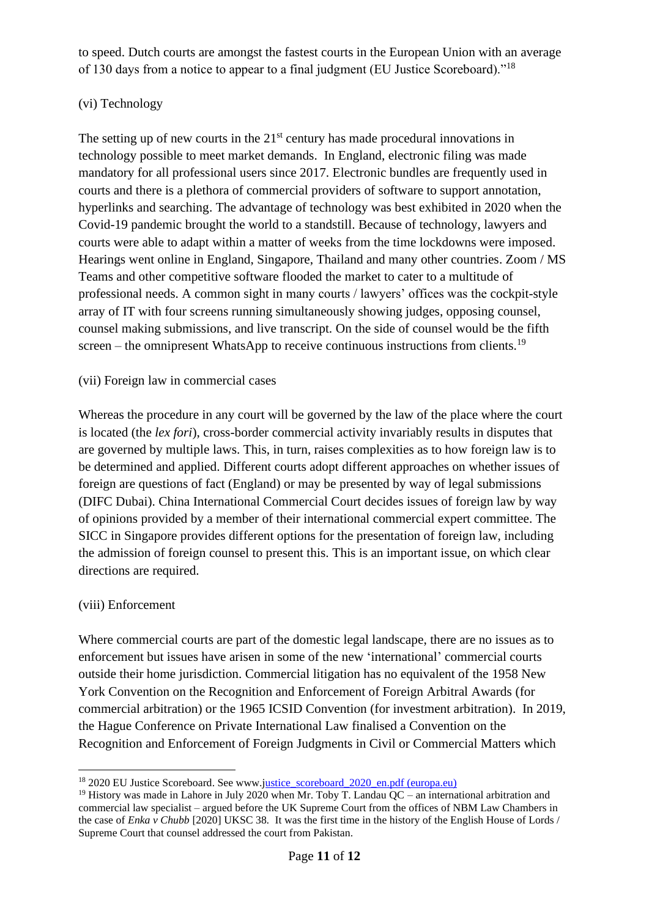to speed. Dutch courts are amongst the fastest courts in the European Union with an average of 130 days from a notice to appear to a final judgment (EU Justice Scoreboard)."<sup>18</sup>

## (vi) Technology

The setting up of new courts in the  $21<sup>st</sup>$  century has made procedural innovations in technology possible to meet market demands. In England, electronic filing was made mandatory for all professional users since 2017. Electronic bundles are frequently used in courts and there is a plethora of commercial providers of software to support annotation, hyperlinks and searching. The advantage of technology was best exhibited in 2020 when the Covid-19 pandemic brought the world to a standstill. Because of technology, lawyers and courts were able to adapt within a matter of weeks from the time lockdowns were imposed. Hearings went online in England, Singapore, Thailand and many other countries. Zoom / MS Teams and other competitive software flooded the market to cater to a multitude of professional needs. A common sight in many courts / lawyers' offices was the cockpit-style array of IT with four screens running simultaneously showing judges, opposing counsel, counsel making submissions, and live transcript. On the side of counsel would be the fifth screen – the omnipresent WhatsApp to receive continuous instructions from clients.<sup>19</sup>

## (vii) Foreign law in commercial cases

Whereas the procedure in any court will be governed by the law of the place where the court is located (the *lex fori*), cross-border commercial activity invariably results in disputes that are governed by multiple laws. This, in turn, raises complexities as to how foreign law is to be determined and applied. Different courts adopt different approaches on whether issues of foreign are questions of fact (England) or may be presented by way of legal submissions (DIFC Dubai). China International Commercial Court decides issues of foreign law by way of opinions provided by a member of their international commercial expert committee. The SICC in Singapore provides different options for the presentation of foreign law, including the admission of foreign counsel to present this. This is an important issue, on which clear directions are required.

## (viii) Enforcement

Where commercial courts are part of the domestic legal landscape, there are no issues as to enforcement but issues have arisen in some of the new 'international' commercial courts outside their home jurisdiction. Commercial litigation has no equivalent of the 1958 New York Convention on the Recognition and Enforcement of Foreign Arbitral Awards (for commercial arbitration) or the 1965 ICSID Convention (for investment arbitration). In 2019, the Hague Conference on Private International Law finalised a Convention on the Recognition and Enforcement of Foreign Judgments in Civil or Commercial Matters which

<sup>&</sup>lt;sup>18</sup> 2020 EU Justice Scoreboard. See www.justice scoreboard 2020 en.pdf (europa.eu)

<sup>&</sup>lt;sup>19</sup> History was made in Lahore in July 2020 when Mr. Toby T. Landau  $OC -$  an international arbitration and commercial law specialist – argued before the UK Supreme Court from the offices of NBM Law Chambers in the case of *Enka v Chubb* [2020] UKSC 38*.* It was the first time in the history of the English House of Lords / Supreme Court that counsel addressed the court from Pakistan.